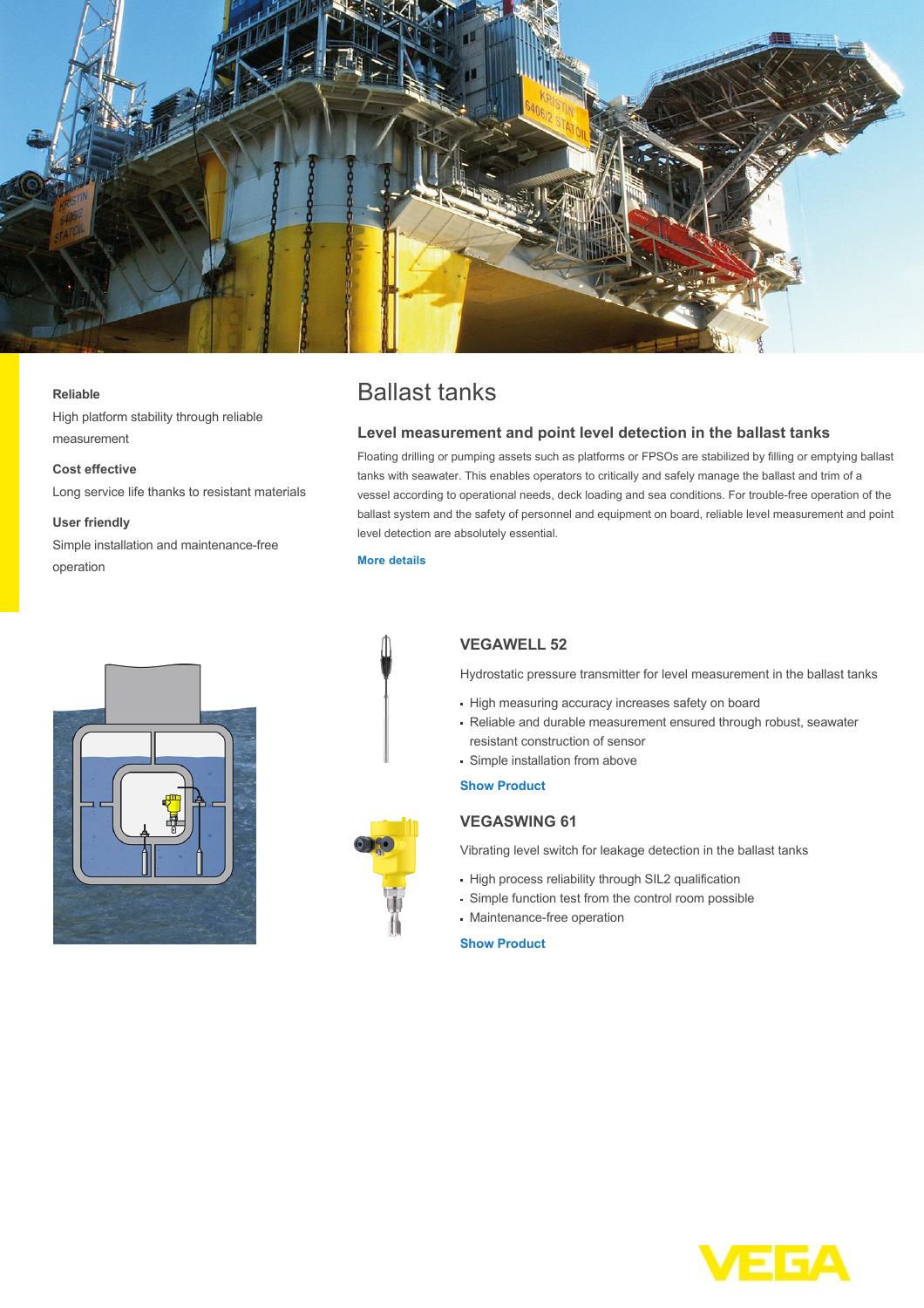

#### **Reliable**

High platform stability through reliable measurement

## **Cost effective**

Long service life thanks to resistant materials

#### **User friendly**

Simple installation and maintenance-free operation





# Ballast tanks

## **Level measurement and point level detection in the ballast tanks**

Floating drilling or pumping assets such as platforms or FPSOs are stabilized by filling or emptying ballast tanks with seawater. This enables operators to critically and safely manage the ballast and trim of a vessel according to operational needs, deck loading and sea conditions. For trouble-free operation of the ballast system and the safety of personnel and equipment on board, reliable level measurement and point level detection are absolutely essential.

#### **[More details](http://localhost/en-us/industries/oil-and-gas-offshore/ballast-tanks)**

# **VEGAWELL 52**

Hydrostatic pressure transmitter for level measurement in the ballast tanks

- High measuring accuracy increases safety on board
- Reliable and durable measurement ensured through robust, seawater resistant construction of sensor
- Simple installation from above

### **[Show Product](http://localhost/en-us/products/product-catalog/level/hydrostatic/vegawell-52)**

## **VEGASWING 61**

Vibrating level switch for leakage detection in the ballast tanks

- High process reliability through SIL2 qualification
- Simple function test from the control room possible
- Maintenance-free operation

## **[Show Product](http://localhost/en-us/products/product-catalog/switching/vibration/vegaswing-61)**